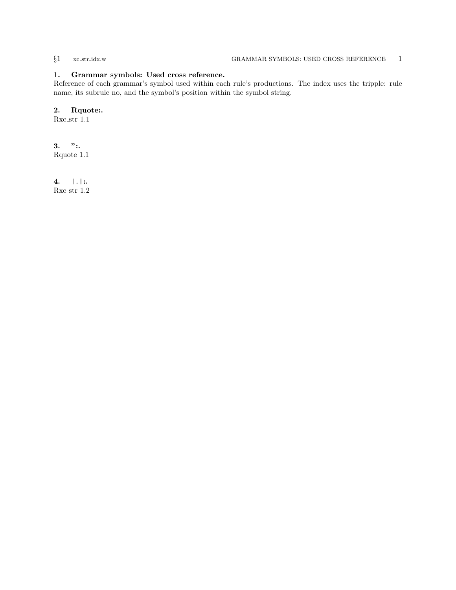### <span id="page-0-0"></span>1. Grammar symbols: Used cross reference.

Reference of each grammar's symbol used within each rule's productions. The index uses the tripple: rule name, its subrule no, and the symbol's position within the symbol string.

## 2. Rquote:.

Rxc\_str  $1.1$ 

 $3.$  ":. Rquote 1.1

4. |.|:. Rxc str 1.2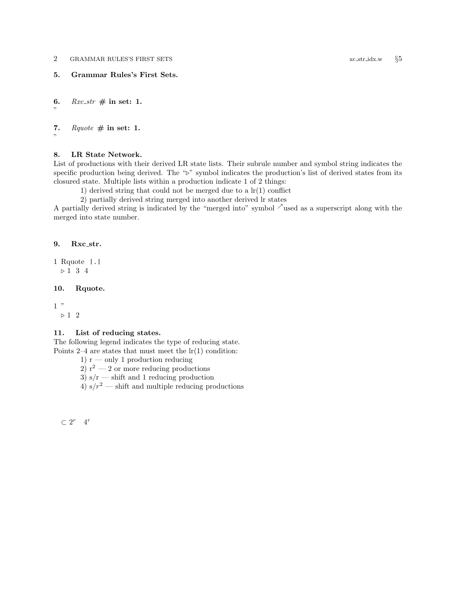<span id="page-1-0"></span>2 GRAMMAR RULES'S FIRST SETS xc str idx.w §5

5. Grammar Rules's First Sets.

6. Rxc\_str  $\#$  in set: 1.

"

"

7. Rquote  $\#$  in set: 1.

#### 8. LR State Network.

List of productions with their derived LR state lists. Their subrule number and symbol string indicates the specific production being derived. The " $\triangleright$ " symbol indicates the production's list of derived states from its closured state. Multiple lists within a production indicate 1 of 2 things:

1) derived string that could not be merged due to a  $\ln(1)$  conflict

2) partially derived string merged into another derived lr states

A partially derived string is indicated by the "merged into" symbol  $\lambda$  used as a superscript along with the merged into state number.

#### 9. Rxc\_str.

1 Rquote |.|  $\triangleright$  1 3 4

#### 10. Rquote.

 $1$  "  $\triangleright$  1  $\,$  2

#### 11. List of reducing states.

The following legend indicates the type of reducing state. Points 2–4 are states that must meet the  $\ln(1)$  condition:

1)  $r$  — only 1 production reducing

2)  $r^2 - 2$  or more reducing productions

3)  $s/r$  — shift and 1 reducing production

4)  $s/r^2$  — shift and multiple reducing productions

 $\subset 2^r$  4<sup>r</sup>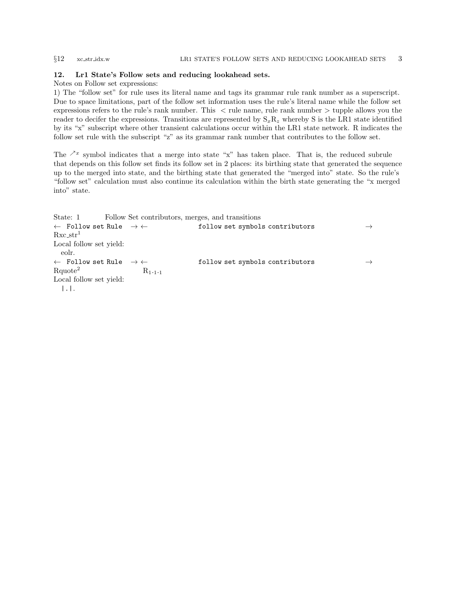<span id="page-2-0"></span>

#### 12. Lr1 State's Follow sets and reducing lookahead sets.

#### Notes on Follow set expressions:

1) The "follow set" for rule uses its literal name and tags its grammar rule rank number as a superscript. Due to space limitations, part of the follow set information uses the rule's literal name while the follow set expressions refers to the rule's rank number. This < rule name, rule rank number > tupple allows you the reader to decifer the expressions. Transitions are represented by  $S_xR_z$  whereby S is the LR1 state identified by its "x" subscript where other transient calculations occur within the LR1 state network. R indicates the follow set rule with the subscript "z" as its grammar rank number that contributes to the follow set.

The  $\lambda^x$  symbol indicates that a merge into state "x" has taken place. That is, the reduced subrule that depends on this follow set finds its follow set in 2 places: its birthing state that generated the sequence up to the merged into state, and the birthing state that generated the "merged into" state. So the rule's "follow set" calculation must also continue its calculation within the birth state generating the "x merged into" state.

```
State: 1 Follow Set contributors, merges, and transitions
← Follow set Rule \rightarrow ← follow set symbols contributors →
Rxc_str<sup>1</sup>
Local follow set yield:
 eolr.
← Follow set Rule → ← follow set symbols contributors →R_{1 \cdot 1 \cdot 1} R_{1 \cdot 1 \cdot 1}Local follow set yield:
  |.|.
```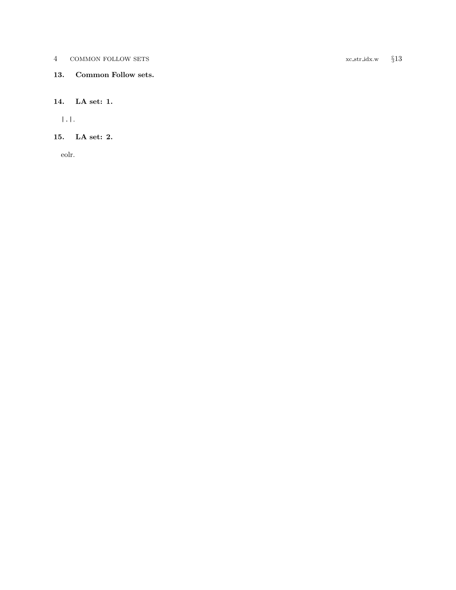<span id="page-3-0"></span>4 COMMON FOLLOW SETS xc str idx.w §13

## 13. Common Follow sets.

### 14. LA set: 1.

|.|.

# 15. LA set: 2.

eolr.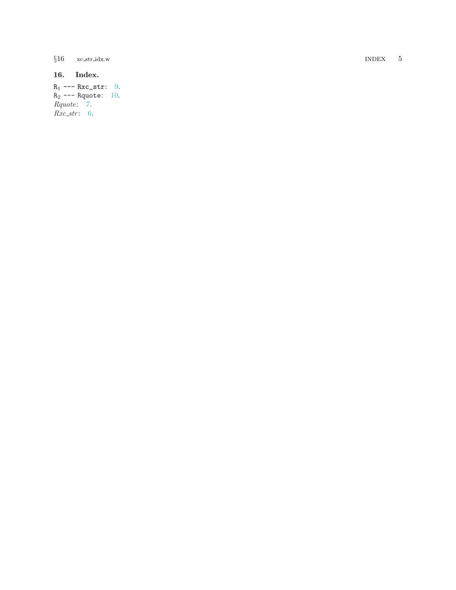<span id="page-4-0"></span> $§16$  xc\_str\_idx.w

# 16. Index.

 $R_1$  ---  $Rxc$ \_str: [9](#page-1-0).  $R_2$  --- Rquote: [10](#page-1-0). Rquote: [7](#page-1-0).  $Rxc\_str: 6$  $Rxc\_str: 6$ .